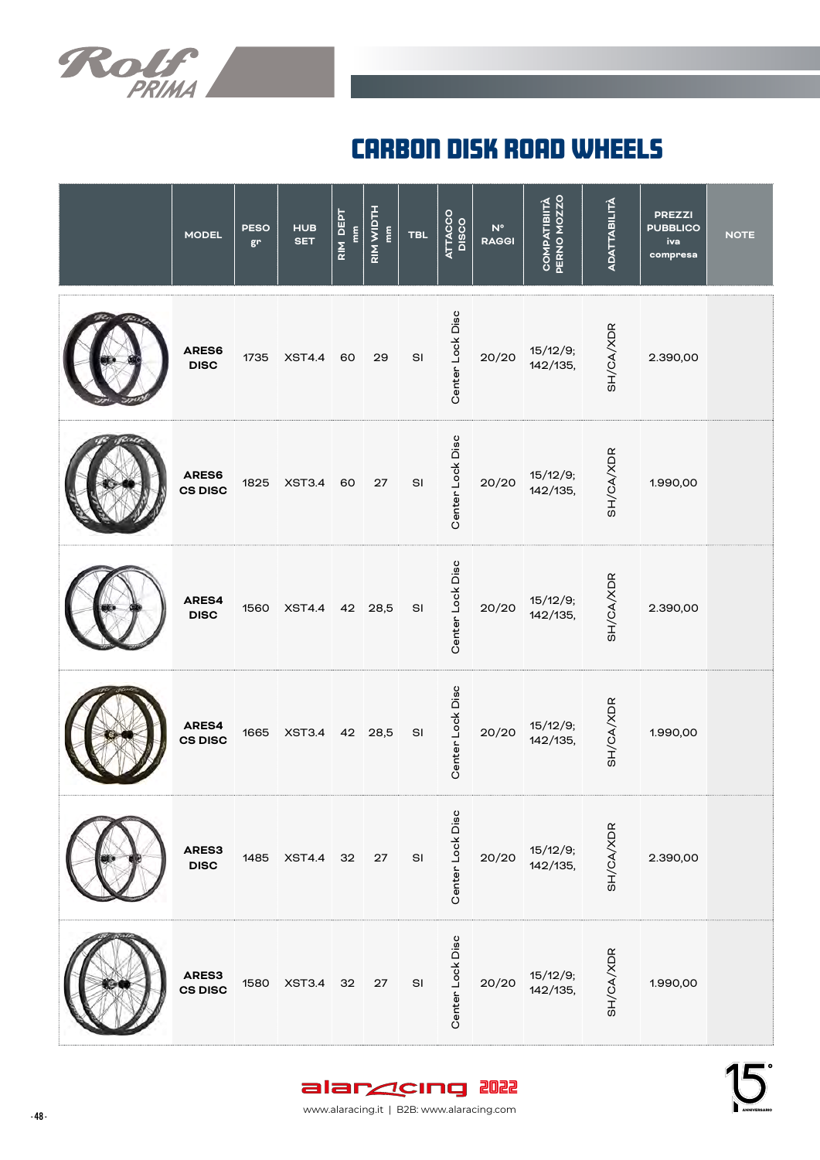

## carbon disk road wheELs

| <b>MODEL</b>            | <b>PESO</b><br>gr | <b>HUB</b><br><b>SET</b> | RIM DEPT<br>$\mathbf{m}$ | RIM WIDTH<br>$\frac{\epsilon}{\epsilon}$ | <b>TBL</b>    | ATTACCO<br>DISCO | $N^{\circ}$<br><b>RAGGI</b> | <b>PERNO MOZZO</b><br><b>COMPATIBIITÀ</b> | <b>ADATTABILITÀ</b> | <b>PREZZI</b><br><b>PUBBLICO</b><br>iva<br>compresa | <b>NOTE</b> |
|-------------------------|-------------------|--------------------------|--------------------------|------------------------------------------|---------------|------------------|-----------------------------|-------------------------------------------|---------------------|-----------------------------------------------------|-------------|
| ARES6<br><b>DISC</b>    | 1735              | <b>XST4.4</b>            | 60                       | 29                                       | SI            | Center Lock Disc | 20/20                       | 15/12/9;<br>142/135,                      | SH/CA/XDR           | 2.390,00                                            |             |
| ARES6<br><b>CS DISC</b> | 1825              | <b>XST3.4</b>            | 60                       | 27                                       | SI            | Center Lock Disc | 20/20                       | 15/12/9;<br>142/135,                      | SH/CA/XDR           | 1.990,00                                            |             |
| ARES4<br><b>DISC</b>    | 1560              | <b>XST4.4</b>            | 42                       | 28,5                                     | SI            | Center Lock Disc | 20/20                       | 15/12/9;<br>142/135,                      | SH/CA/XDR           | 2.390,00                                            |             |
| ARES4<br><b>CS DISC</b> | 1665              | <b>XST3.4</b>            |                          | 42 28,5                                  | SI            | Center Lock Disc | 20/20                       | 15/12/9;<br>142/135,                      | SH/CA/XDR           | 1.990,00                                            |             |
| ARES3<br><b>DISC</b>    | 1485              | <b>XST4.4</b>            | 32                       | ${\bf 27}$                               | $\mathsf{SI}$ | Center Lock Disc | 20/20                       | 15/12/9;<br>142/135,                      | SH/CA/XDR           | 2.390,00                                            |             |
| ARES3<br><b>CS DISC</b> | 1580              | <b>XST3.4</b>            | 32                       | 27                                       | SI            | Center Lock Disc | 20/20                       | 15/12/9;<br>142/135,                      | SH/CA/XDR           | 1.990,00                                            |             |